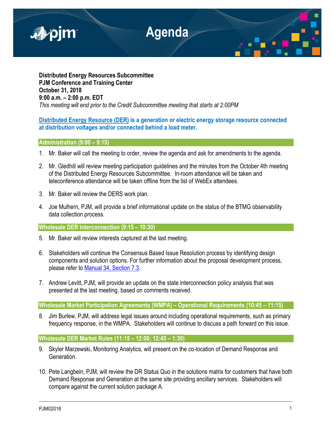

**Distributed Energy Resources Subcommittee PJM Conference and Training Center October 31, 2018 9:00 a.m. – 2:00 p.m. EDT** *This meeting will end prior to the Credit Subcommittee meeting that starts at 2:00PM*

# **Distributed Energy Resource (DER) is a generation or electric energy storage resource connected at distribution voltages and/or connected behind a load meter.**

## **Administration (9:00 – 9:15)**

- 1. Mr. Baker will call the meeting to order, review the agenda and ask for amendments to the agenda.
- 2. Mr. Gledhill will review meeting participation guidelines and the minutes from the October 4th meeting of the Distributed Energy Resources Subcommittee. In-room attendance will be taken and teleconference attendance will be taken offline from the list of WebEx attendees.
- 3. Mr. Baker will review the DERS work plan.
- 4. Joe Mulhern, PJM, will provide a brief informational update on the status of the BTMG observability data collection process.

### **Wholesale DER Interconnection (9:15 – 10:30)**

- 5. Mr. Baker will review interests captured at the last meeting.
- 6. Stakeholders will continue the Consensus Based Issue Resolution process by identifying design components and solution options. For further information about the proposal development process, please refer to [Manual 34, Section 7.3.](https://www.pjm.com/-/media/documents/manuals/m34.ashx)
- 7. Andrew Levitt, PJM, will provide an update on the state interconnection policy analysis that was presented at the last meeting, based on comments received.

## **Wholesale Market Participation Agreements (WMPA) – Operational Requirements (10:45 – 11:15)**

8. Jim Burlew, PJM, will address legal issues around including operational requirements, such as primary frequency response, in the WMPA. Stakeholders will continue to discuss a path forward on this issue.

## **Wholesale DER Market Rules (11:15 – 12:00; 12:45 – 1:30)**

- 9. Skyler Marzewski, Monitoring Analytics, will present on the co-location of Demand Response and Generation.
- 10. Pete Langbein, PJM, will review the DR Status Quo in the solutions matrix for customers that have both Demand Response and Generation at the same site providing ancillary services. Stakeholders will compare against the current solution package A.